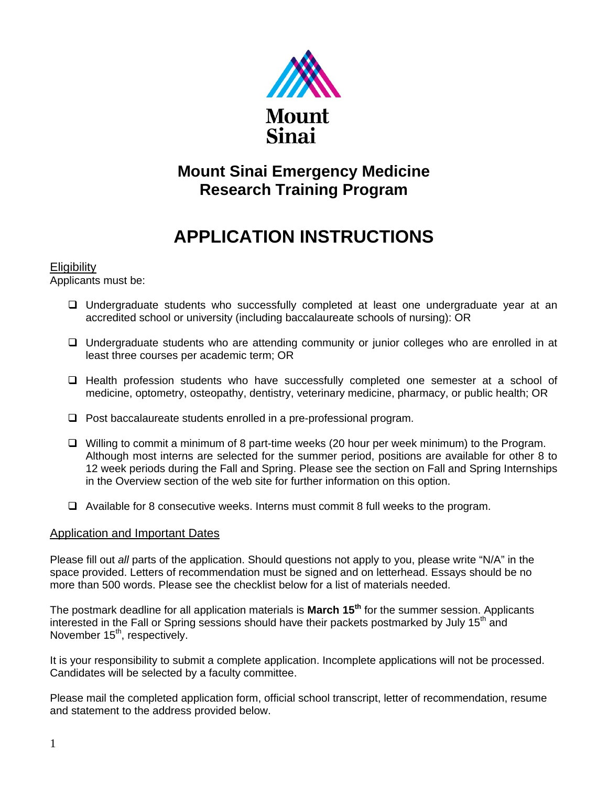

## **Mount Sinai Emergency Medicine Research Training Program**

## **APPLICATION INSTRUCTIONS**

#### **Eligibility**

Applicants must be:

- Undergraduate students who successfully completed at least one undergraduate year at an accredited school or university (including baccalaureate schools of nursing): OR
- Undergraduate students who are attending community or junior colleges who are enrolled in at least three courses per academic term; OR
- $\Box$  Health profession students who have successfully completed one semester at a school of medicine, optometry, osteopathy, dentistry, veterinary medicine, pharmacy, or public health; OR
- $\Box$  Post baccalaureate students enrolled in a pre-professional program.
- Willing to commit a minimum of 8 part-time weeks (20 hour per week minimum) to the Program. Although most interns are selected for the summer period, positions are available for other 8 to 12 week periods during the Fall and Spring. Please see the section on Fall and Spring Internships in the Overview section of the web site for further information on this option.
- $\Box$  Available for 8 consecutive weeks. Interns must commit 8 full weeks to the program.

### Application and Important Dates

Please fill out *all* parts of the application. Should questions not apply to you, please write "N/A" in the space provided. Letters of recommendation must be signed and on letterhead. Essays should be no more than 500 words. Please see the checklist below for a list of materials needed.

The postmark deadline for all application materials is **March 15th** for the summer session. Applicants interested in the Fall or Spring sessions should have their packets postmarked by July 15<sup>th</sup> and November 15<sup>th</sup>, respectively.

It is your responsibility to submit a complete application. Incomplete applications will not be processed. Candidates will be selected by a faculty committee.

Please mail the completed application form, official school transcript, letter of recommendation, resume and statement to the address provided below.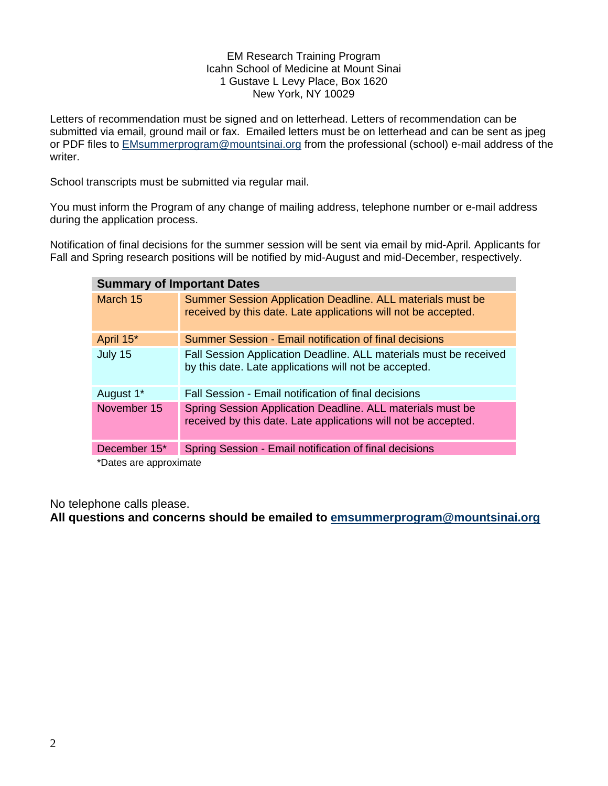#### EM Research Training Program Icahn School of Medicine at Mount Sinai 1 Gustave L Levy Place, Box 1620 New York, NY 10029

Letters of recommendation must be signed and on letterhead. Letters of recommendation can be submitted via email, ground mail or fax. Emailed letters must be on letterhead and can be sent as jpeg or PDF files to [EMsummerprogram@mountsinai.org](mailto:EMsummerprogram@mountsinai.org) from the professional (school) e-mail address of the writer.

School transcripts must be submitted via regular mail.

You must inform the Program of any change of mailing address, telephone number or e-mail address during the application process.

Notification of final decisions for the summer session will be sent via email by mid-April. Applicants for Fall and Spring research positions will be notified by mid-August and mid-December, respectively.

| <b>Summary of Important Dates</b> |                                                                                                                              |
|-----------------------------------|------------------------------------------------------------------------------------------------------------------------------|
| March 15                          | Summer Session Application Deadline. ALL materials must be<br>received by this date. Late applications will not be accepted. |
| April 15*                         | Summer Session - Email notification of final decisions                                                                       |
| July 15                           | Fall Session Application Deadline. ALL materials must be received<br>by this date. Late applications will not be accepted.   |
| August 1*                         | Fall Session - Email notification of final decisions                                                                         |
| November 15                       | Spring Session Application Deadline. ALL materials must be<br>received by this date. Late applications will not be accepted. |
| December 15*                      | Spring Session - Email notification of final decisions                                                                       |
| *Natae ara annrovimata            |                                                                                                                              |

Dates are approximate

No telephone calls please.

**All questions and concerns should be emailed to [emsummerprogram@mountsinai.org](mailto:emsummerprogram@mountsinai.org)**